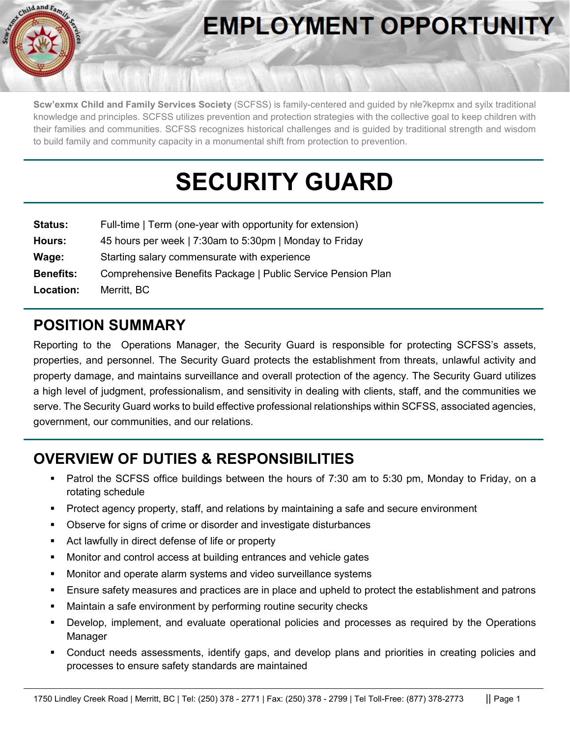

# **EMPLOYMENT OPPORTUNITY**

**Scw'exmx Child and Family Services Society** (SCFSS) is family-centered and guided by nłeʔkepmx and syilx traditional knowledge and principles. SCFSS utilizes prevention and protection strategies with the collective goal to keep children with their families and communities. SCFSS recognizes historical challenges and is guided by traditional strength and wisdom to build family and community capacity in a monumental shift from protection to prevention.

# **SECURITY GUARD**

| <b>Status:</b>   | Full-time   Term (one-year with opportunity for extension)   |
|------------------|--------------------------------------------------------------|
| Hours:           | 45 hours per week   7:30am to 5:30pm   Monday to Friday      |
| Wage:            | Starting salary commensurate with experience                 |
| <b>Benefits:</b> | Comprehensive Benefits Package   Public Service Pension Plan |
| Location:        | Merritt, BC                                                  |

### **POSITION SUMMARY**

Reporting to the Operations Manager, the Security Guard is responsible for protecting SCFSS's assets, properties, and personnel. The Security Guard protects the establishment from threats, unlawful activity and property damage, and maintains surveillance and overall protection of the agency. The Security Guard utilizes a high level of judgment, professionalism, and sensitivity in dealing with clients, staff, and the communities we serve. The Security Guard works to build effective professional relationships within SCFSS, associated agencies, government, our communities, and our relations.

## **OVERVIEW OF DUTIES & RESPONSIBILITIES**

- Patrol the SCFSS office buildings between the hours of 7:30 am to 5:30 pm, Monday to Friday, on a rotating schedule
- Protect agency property, staff, and relations by maintaining a safe and secure environment
- Observe for signs of crime or disorder and investigate disturbances
- Act lawfully in direct defense of life or property
- **Monitor and control access at building entrances and vehicle gates**
- **Monitor and operate alarm systems and video surveillance systems**
- Ensure safety measures and practices are in place and upheld to protect the establishment and patrons
- Maintain a safe environment by performing routine security checks
- Develop, implement, and evaluate operational policies and processes as required by the Operations **Manager**
- Conduct needs assessments, identify gaps, and develop plans and priorities in creating policies and processes to ensure safety standards are maintained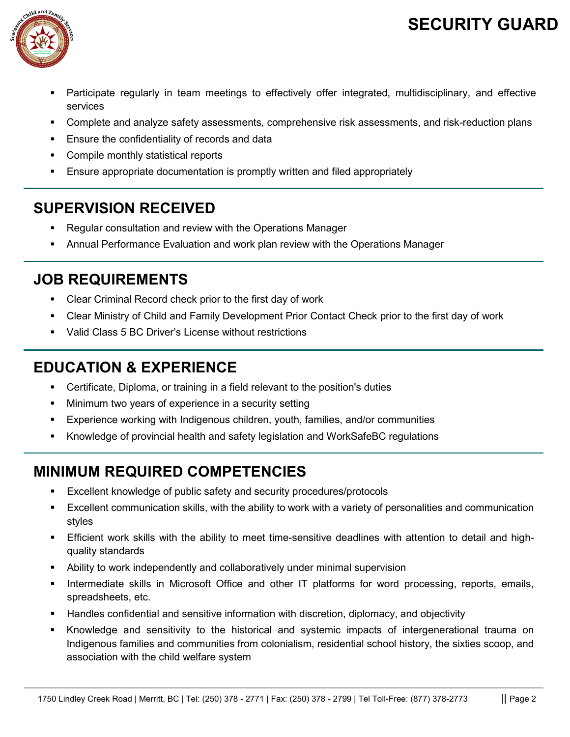## **SECURITY GUARD**



- Participate regularly in team meetings to effectively offer integrated, multidisciplinary, and effective services
- Complete and analyze safety assessments, comprehensive risk assessments, and risk-reduction plans
- **Ensure the confidentiality of records and data**
- Compile monthly statistical reports
- Ensure appropriate documentation is promptly written and filed appropriately

#### **SUPERVISION RECEIVED**

- Regular consultation and review with the Operations Manager
- Annual Performance Evaluation and work plan review with the Operations Manager

#### **JOB REQUIREMENTS**

- Clear Criminal Record check prior to the first day of work
- Clear Ministry of Child and Family Development Prior Contact Check prior to the first day of work
- Valid Class 5 BC Driver's License without restrictions

### **EDUCATION & EXPERIENCE**

- Certificate, Diploma, or training in a field relevant to the position's duties
- Minimum two years of experience in a security setting
- Experience working with Indigenous children, youth, families, and/or communities
- Knowledge of provincial health and safety legislation and WorkSafeBC regulations

## **MINIMUM REQUIRED COMPETENCIES**

- Excellent knowledge of public safety and security procedures/protocols
- Excellent communication skills, with the ability to work with a variety of personalities and communication styles
- Efficient work skills with the ability to meet time-sensitive deadlines with attention to detail and highquality standards
- Ability to work independently and collaboratively under minimal supervision
- Intermediate skills in Microsoft Office and other IT platforms for word processing, reports, emails, spreadsheets, etc.
- Handles confidential and sensitive information with discretion, diplomacy, and objectivity
- Knowledge and sensitivity to the historical and systemic impacts of intergenerational trauma on Indigenous families and communities from colonialism, residential school history, the sixties scoop, and association with the child welfare system